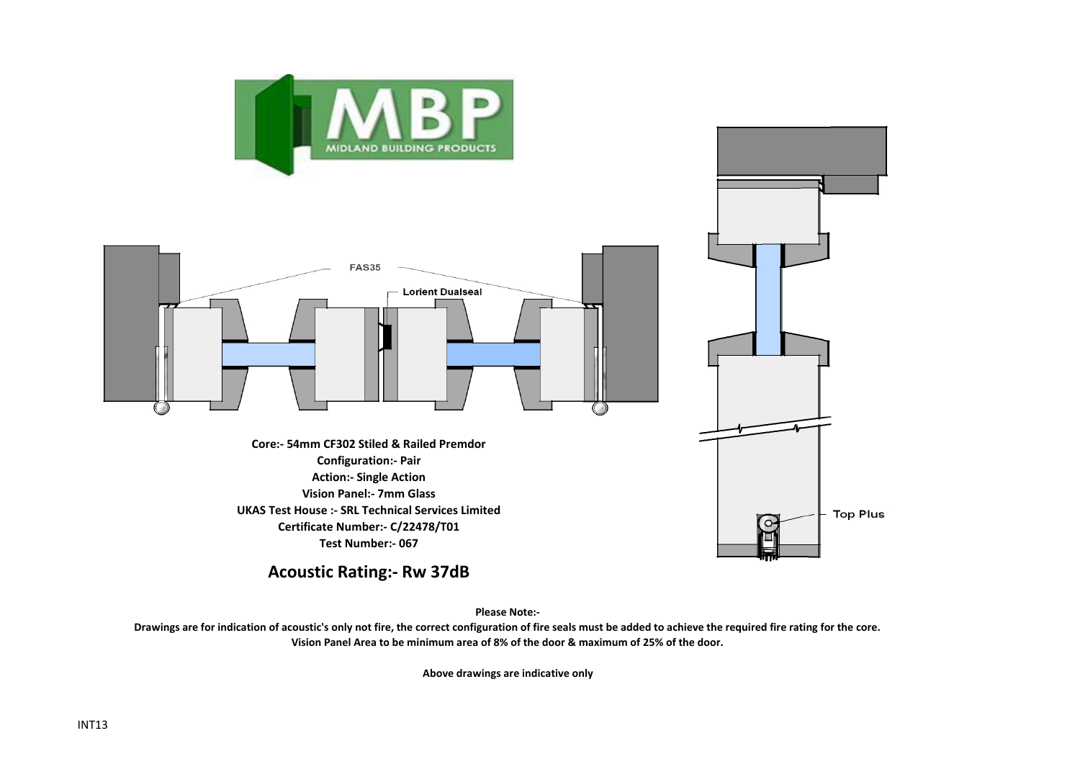



**Please Note:- Drawings are for indication of acoustic's only not fire, the correct configuration of fire seals must be added to achieve the required fire rating for the core. Vision Panel Area to be minimum area of 8% of the door & maximum of 25% of the door.**

**Above drawings are indicative only**